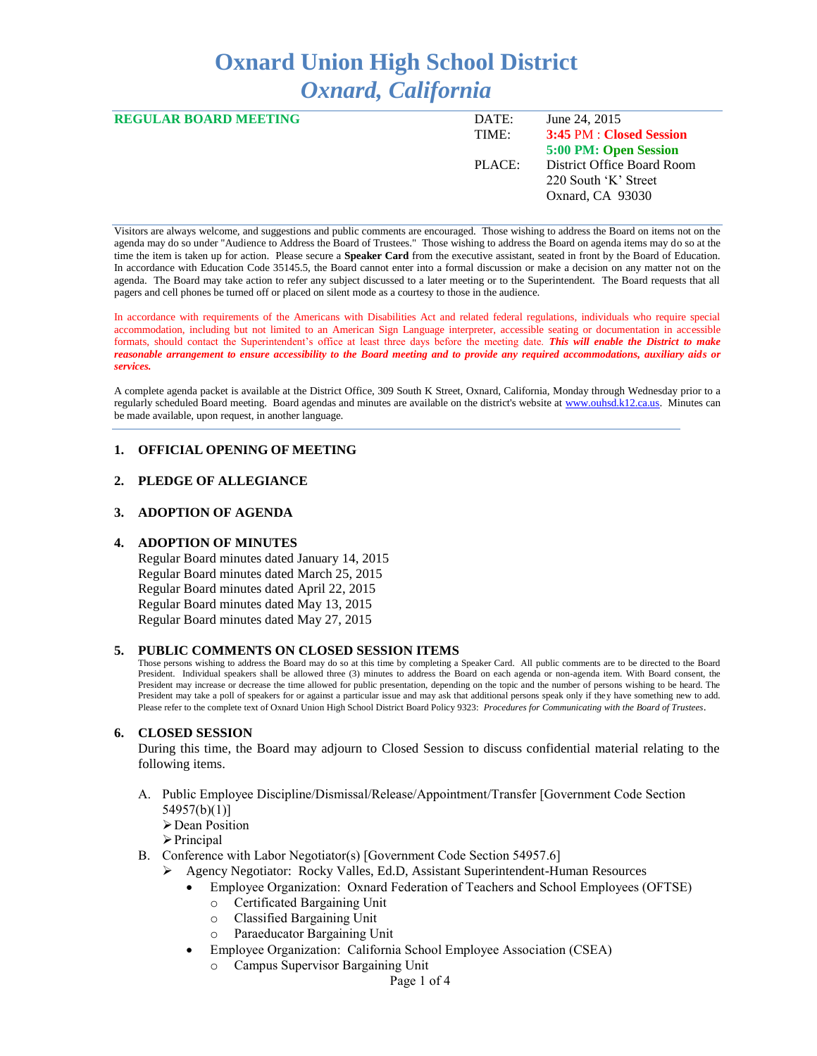# **Oxnard Union High School District** *Oxnard, California*

| <b>REGULAR BOARD MEETING</b> | DATE:  | June 24, 2015              |
|------------------------------|--------|----------------------------|
|                              | TIME:  | 3:45 PM : Closed Session   |
|                              |        | 5:00 PM: Open Session      |
|                              | PLACE: | District Office Board Room |
|                              |        | 220 South 'K' Street       |
|                              |        | Oxnard, CA 93030           |
|                              |        |                            |

Visitors are always welcome, and suggestions and public comments are encouraged. Those wishing to address the Board on items not on the agenda may do so under "Audience to Address the Board of Trustees." Those wishing to address the Board on agenda items may do so at the time the item is taken up for action. Please secure a **Speaker Card** from the executive assistant, seated in front by the Board of Education. In accordance with Education Code 35145.5, the Board cannot enter into a formal discussion or make a decision on any matter not on the agenda. The Board may take action to refer any subject discussed to a later meeting or to the Superintendent. The Board requests that all pagers and cell phones be turned off or placed on silent mode as a courtesy to those in the audience.

In accordance with requirements of the Americans with Disabilities Act and related federal regulations, individuals who require special accommodation, including but not limited to an American Sign Language interpreter, accessible seating or documentation in accessible formats, should contact the Superintendent's office at least three days before the meeting date. *This will enable the District to make reasonable arrangement to ensure accessibility to the Board meeting and to provide any required accommodations, auxiliary aids or services.* 

A complete agenda packet is available at the District Office, 309 South K Street, Oxnard, California, Monday through Wednesday prior to a regularly scheduled Board meeting. Board agendas and minutes are available on the district's website a[t www.ouhsd.k12.ca.us.](http://www.ouhsd.k12.ca.us/)Minutes can be made available, upon request, in another language.

## **1. OFFICIAL OPENING OF MEETING**

#### **2. PLEDGE OF ALLEGIANCE**

#### **3. ADOPTION OF AGENDA**

#### **4. ADOPTION OF MINUTES**

Regular Board minutes dated January 14, 2015 Regular Board minutes dated March 25, 2015 Regular Board minutes dated April 22, 2015 Regular Board minutes dated May 13, 2015 Regular Board minutes dated May 27, 2015

#### **5. PUBLIC COMMENTS ON CLOSED SESSION ITEMS**

Those persons wishing to address the Board may do so at this time by completing a Speaker Card. All public comments are to be directed to the Board President. Individual speakers shall be allowed three (3) minutes to address the Board on each agenda or non-agenda item. With Board consent, the President may increase or decrease the time allowed for public presentation, depending on the topic and the number of persons wishing to be heard. The President may take a poll of speakers for or against a particular issue and may ask that additional persons speak only if they have something new to add. Please refer to the complete text of Oxnard Union High School District Board Policy 9323: *Procedures for Communicating with the Board of Trustees*.

#### **6. CLOSED SESSION**

During this time, the Board may adjourn to Closed Session to discuss confidential material relating to the following items.

A. Public Employee Discipline/Dismissal/Release/Appointment/Transfer [Government Code Section 54957(b)(1)]

**≻** Dean Position

 $\triangleright$  Principal

- B. Conference with Labor Negotiator(s) [Government Code Section 54957.6]
	- Agency Negotiator: Rocky Valles, Ed.D, Assistant Superintendent-Human Resources
		- Employee Organization: Oxnard Federation of Teachers and School Employees (OFTSE)
			- o Certificated Bargaining Unit
			- o Classified Bargaining Unit
			- o Paraeducator Bargaining Unit
		- Employee Organization: California School Employee Association (CSEA)
			- Campus Supervisor Bargaining Unit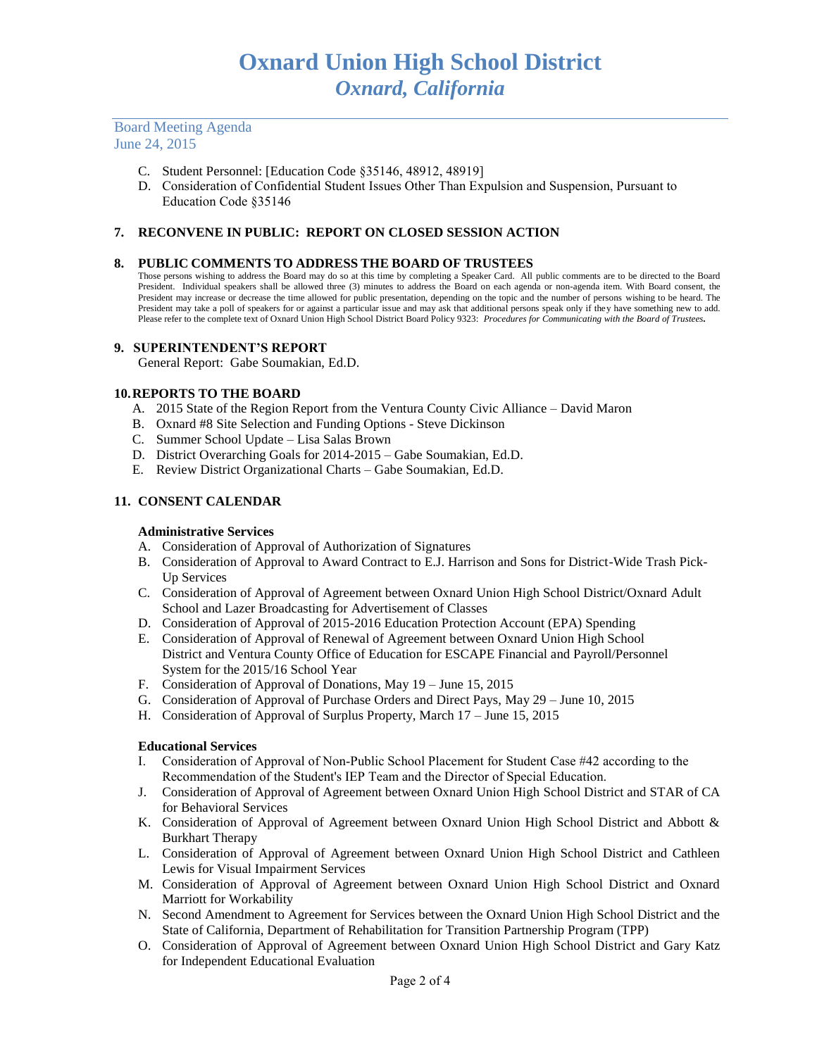## Board Meeting Agenda June 24, 2015

- C. Student Personnel: [Education Code §35146, 48912, 48919]
- D. Consideration of Confidential Student Issues Other Than Expulsion and Suspension, Pursuant to Education Code §35146

## **7. RECONVENE IN PUBLIC: REPORT ON CLOSED SESSION ACTION**

#### **8. PUBLIC COMMENTS TO ADDRESS THE BOARD OF TRUSTEES**

Those persons wishing to address the Board may do so at this time by completing a Speaker Card. All public comments are to be directed to the Board President. Individual speakers shall be allowed three (3) minutes to address the Board on each agenda or non-agenda item. With Board consent, the President may increase or decrease the time allowed for public presentation, depending on the topic and the number of persons wishing to be heard. The President may take a poll of speakers for or against a particular issue and may ask that additional persons speak only if they have something new to add. Please refer to the complete text of Oxnard Union High School District Board Policy 9323: *Procedures for Communicating with the Board of Trustees.*

#### **9. SUPERINTENDENT'S REPORT**

General Report: Gabe Soumakian, Ed.D.

#### **10.REPORTS TO THE BOARD**

- A. 2015 State of the Region Report from the Ventura County Civic Alliance David Maron
- B. Oxnard #8 Site Selection and Funding Options Steve Dickinson
- C. Summer School Update Lisa Salas Brown
- D. District Overarching Goals for 2014-2015 Gabe Soumakian, Ed.D.
- E. Review District Organizational Charts Gabe Soumakian, Ed.D.

## **11. CONSENT CALENDAR**

#### **Administrative Services**

- A. Consideration of Approval of Authorization of Signatures
- B. Consideration of Approval to Award Contract to E.J. Harrison and Sons for District-Wide Trash Pick-Up Services
- C. Consideration of Approval of Agreement between Oxnard Union High School District/Oxnard Adult School and Lazer Broadcasting for Advertisement of Classes
- D. Consideration of Approval of 2015-2016 Education Protection Account (EPA) Spending
- E. Consideration of Approval of Renewal of Agreement between Oxnard Union High School District and Ventura County Office of Education for ESCAPE Financial and Payroll/Personnel System for the 2015/16 School Year
- F. Consideration of Approval of Donations, May 19 June 15, 2015
- G. Consideration of Approval of Purchase Orders and Direct Pays, May 29 June 10, 2015
- H. Consideration of Approval of Surplus Property, March 17 June 15, 2015

## **Educational Services**

- I. Consideration of Approval of Non-Public School Placement for Student Case #42 according to the Recommendation of the Student's IEP Team and the Director of Special Education.
- J. Consideration of Approval of Agreement between Oxnard Union High School District and STAR of CA for Behavioral Services
- K. Consideration of Approval of Agreement between Oxnard Union High School District and Abbott & Burkhart Therapy
- L. Consideration of Approval of Agreement between Oxnard Union High School District and Cathleen Lewis for Visual Impairment Services
- M. Consideration of Approval of Agreement between Oxnard Union High School District and Oxnard Marriott for Workability
- N. Second Amendment to Agreement for Services between the Oxnard Union High School District and the State of California, Department of Rehabilitation for Transition Partnership Program (TPP)
- O. Consideration of Approval of Agreement between Oxnard Union High School District and Gary Katz for Independent Educational Evaluation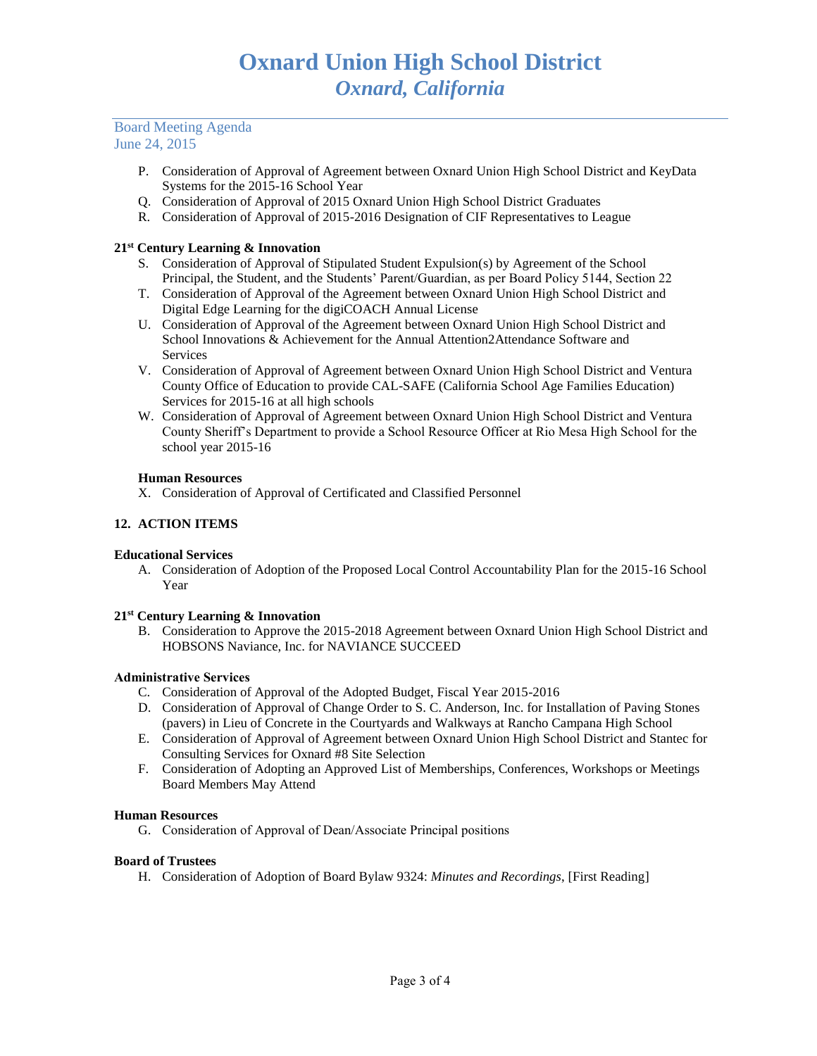#### Board Meeting Agenda June 24, 2015

- P. Consideration of Approval of Agreement between Oxnard Union High School District and KeyData Systems for the 2015-16 School Year
- Q. Consideration of Approval of 2015 Oxnard Union High School District Graduates
- R. Consideration of Approval of 2015-2016 Designation of CIF Representatives to League

## **21st Century Learning & Innovation**

- S. Consideration of Approval of Stipulated Student Expulsion(s) by Agreement of the School Principal, the Student, and the Students' Parent/Guardian, as per Board Policy 5144, Section 22
- T. Consideration of Approval of the Agreement between Oxnard Union High School District and Digital Edge Learning for the digiCOACH Annual License
- U. Consideration of Approval of the Agreement between Oxnard Union High School District and School Innovations & Achievement for the Annual Attention2Attendance Software and Services
- V. Consideration of Approval of Agreement between Oxnard Union High School District and Ventura County Office of Education to provide CAL-SAFE (California School Age Families Education) Services for 2015-16 at all high schools
- W. Consideration of Approval of Agreement between Oxnard Union High School District and Ventura County Sheriff's Department to provide a School Resource Officer at Rio Mesa High School for the school year 2015-16

## **Human Resources**

X. Consideration of Approval of Certificated and Classified Personnel

## **12. ACTION ITEMS**

## **Educational Services**

A. Consideration of Adoption of the Proposed Local Control Accountability Plan for the 2015-16 School Year

## **21st Century Learning & Innovation**

B. Consideration to Approve the 2015-2018 Agreement between Oxnard Union High School District and HOBSONS Naviance, Inc. for NAVIANCE SUCCEED

## **Administrative Services**

- C. Consideration of Approval of the Adopted Budget, Fiscal Year 2015-2016
- D. Consideration of Approval of Change Order to S. C. Anderson, Inc. for Installation of Paving Stones (pavers) in Lieu of Concrete in the Courtyards and Walkways at Rancho Campana High School
- E. Consideration of Approval of Agreement between Oxnard Union High School District and Stantec for Consulting Services for Oxnard #8 Site Selection
- F. Consideration of Adopting an Approved List of Memberships, Conferences, Workshops or Meetings Board Members May Attend

## **Human Resources**

G. Consideration of Approval of Dean/Associate Principal positions

## **Board of Trustees**

H. Consideration of Adoption of Board Bylaw 9324: *Minutes and Recordings*, [First Reading]